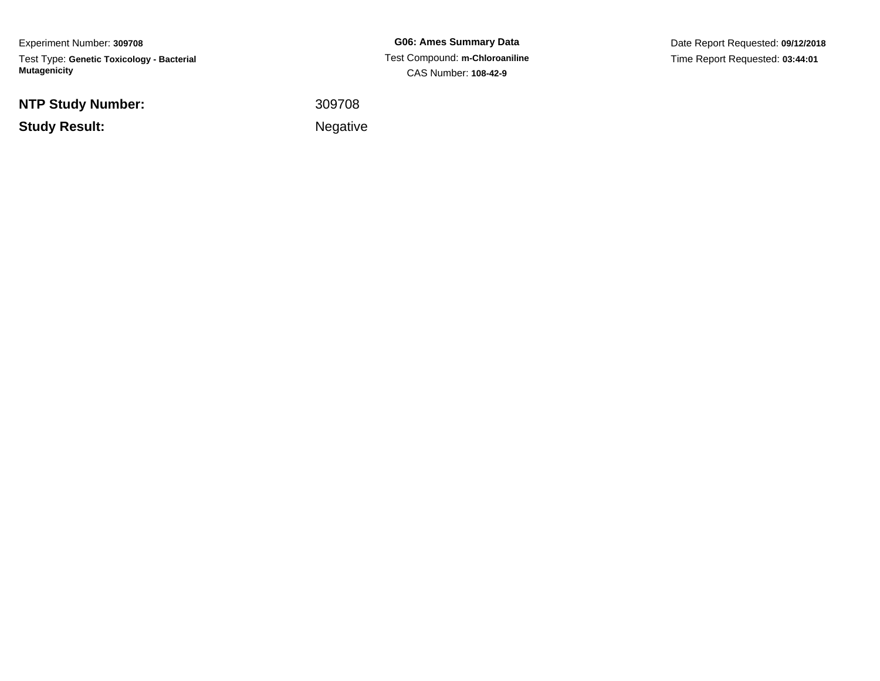Experiment Number: **309708**Test Type: **Genetic Toxicology - Bacterial Mutagenicity**

**NTP Study Number:**

**Study Result:**

**G06: Ames Summary Data** Test Compound: **m-Chloroaniline**CAS Number: **108-42-9**

Date Report Requested: **09/12/2018**Time Report Requested: **03:44:01**

<sup>309708</sup>

Negative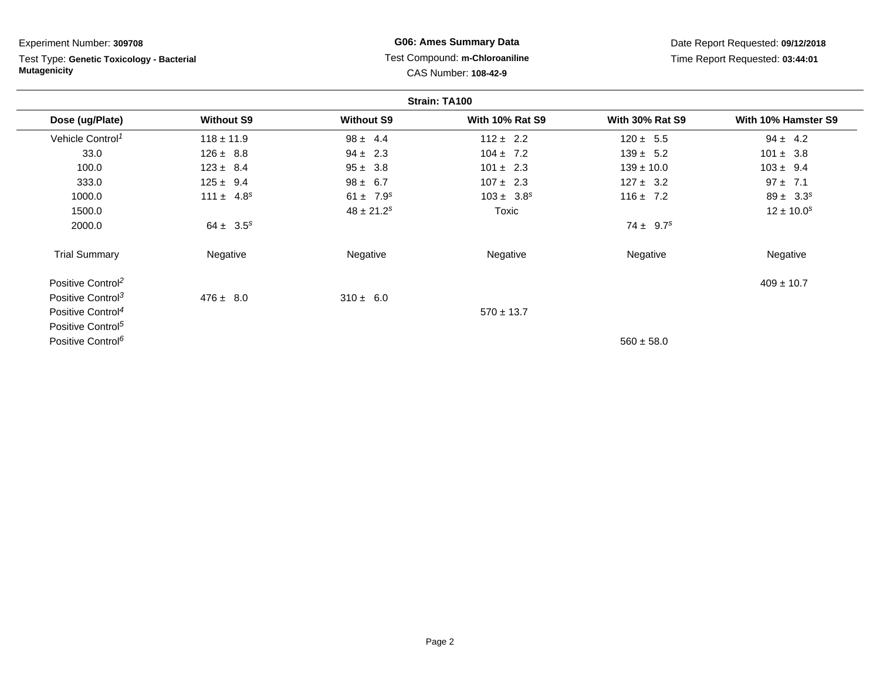| Experiment Number: 309708                                        |                   |                                                        | <b>G06: Ames Summary Data</b>   |                        | Date Report Requested: 09/12/2018 |
|------------------------------------------------------------------|-------------------|--------------------------------------------------------|---------------------------------|------------------------|-----------------------------------|
| Test Type: Genetic Toxicology - Bacterial<br><b>Mutagenicity</b> |                   | Test Compound: m-Chloroaniline<br>CAS Number: 108-42-9 | Time Report Requested: 03:44:01 |                        |                                   |
|                                                                  |                   |                                                        | Strain: TA100                   |                        |                                   |
| Dose (ug/Plate)                                                  | <b>Without S9</b> | <b>Without S9</b>                                      | <b>With 10% Rat S9</b>          | <b>With 30% Rat S9</b> | With 10% Hamster S9               |
| Vehicle Control <sup>1</sup>                                     | $118 \pm 11.9$    | $98 \pm 4.4$                                           | $112 \pm 2.2$                   | $120 \pm 5.5$          | $94 \pm 4.2$                      |
| 33.0                                                             | $126 \pm 8.8$     | $94 \pm 2.3$                                           | $104 \pm 7.2$                   | $139 \pm 5.2$          | $101 \pm 3.8$                     |
| 100.0                                                            | $123 \pm 8.4$     | $95 \pm 3.8$                                           | $101 \pm 2.3$                   | $139 \pm 10.0$         | $103 \pm 9.4$                     |
| 333.0                                                            | $125 \pm 9.4$     | $98 \pm 6.7$                                           | $107 \pm 2.3$                   | $127 \pm 3.2$          | $97 \pm 7.1$                      |
| 1000.0                                                           | $111 \pm 4.8^s$   | $61 \pm 7.9^s$                                         | $103 \pm 3.8^s$                 | $116 \pm 7.2$          | $89 \pm 3.3^s$                    |
| 1500.0                                                           |                   | $48 \pm 21.2$ <sup>s</sup>                             | Toxic                           |                        | $12 \pm 10.0^s$                   |
| 2000.0                                                           | $64 \pm 3.5^s$    |                                                        |                                 | $74 \pm 9.7^s$         |                                   |
| <b>Trial Summary</b>                                             | Negative          | Negative                                               | Negative                        | Negative               | Negative                          |
| Positive Control <sup>2</sup>                                    |                   |                                                        |                                 |                        | $409 \pm 10.7$                    |
| Positive Control <sup>3</sup>                                    | $476 \pm 8.0$     | $310 \pm 6.0$                                          |                                 |                        |                                   |
| Positive Control <sup>4</sup>                                    |                   |                                                        | $570 \pm 13.7$                  |                        |                                   |
| Positive Control <sup>5</sup>                                    |                   |                                                        |                                 |                        |                                   |
| Positive Control <sup>6</sup>                                    |                   |                                                        |                                 | $560 \pm 58.0$         |                                   |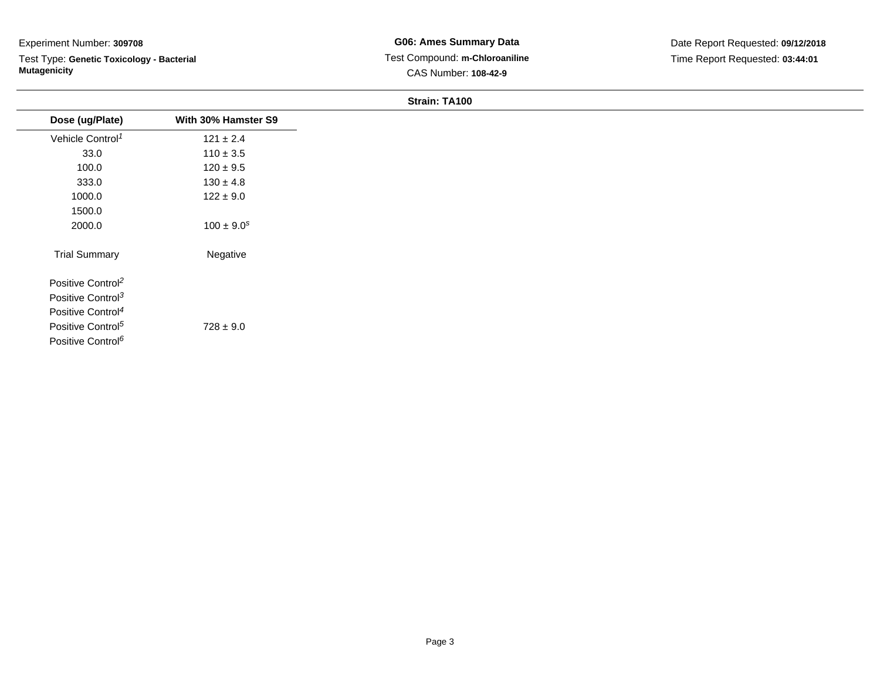Test Type: **Genetic Toxicology - Bacterial Mutagenicity**

| Dose (ug/Plate)               | With 30% Hamster S9 |
|-------------------------------|---------------------|
| Vehicle Control <sup>1</sup>  | $121 \pm 2.4$       |
| 33.0                          | $110 \pm 3.5$       |
| 100.0                         | $120 \pm 9.5$       |
| 333.0                         | $130 \pm 4.8$       |
| 1000.0                        | $122 \pm 9.0$       |
| 1500.0                        |                     |
| 2000.0                        | $100 \pm 9.0^s$     |
| <b>Trial Summary</b>          | Negative            |
| Positive Control <sup>2</sup> |                     |
| Positive Control <sup>3</sup> |                     |
| Positive Control <sup>4</sup> |                     |
| Positive Control <sup>5</sup> | $728 \pm 9.0$       |
| Positive Control <sup>6</sup> |                     |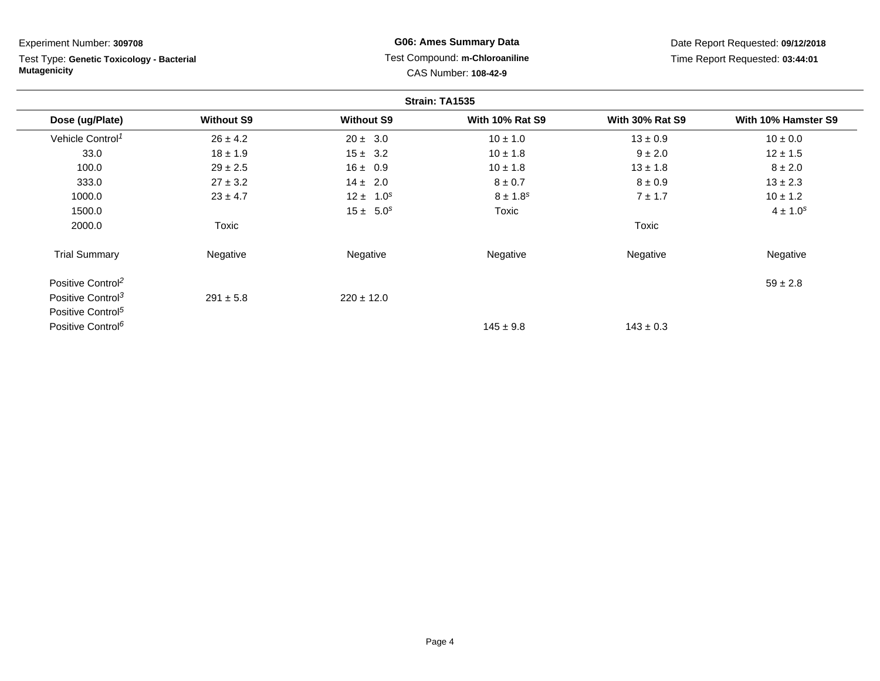| Experiment Number: 309708                                        |                   |                   | <b>G06: Ames Summary Data</b>                          |                        | Date Report Requested: 09/12/2018 |
|------------------------------------------------------------------|-------------------|-------------------|--------------------------------------------------------|------------------------|-----------------------------------|
| Test Type: Genetic Toxicology - Bacterial<br><b>Mutagenicity</b> |                   |                   | Test Compound: m-Chloroaniline<br>CAS Number: 108-42-9 |                        | Time Report Requested: 03:44:01   |
|                                                                  |                   |                   | Strain: TA1535                                         |                        |                                   |
| Dose (ug/Plate)                                                  | <b>Without S9</b> | <b>Without S9</b> | <b>With 10% Rat S9</b>                                 | <b>With 30% Rat S9</b> | With 10% Hamster S9               |
| Vehicle Control <sup>1</sup>                                     | $26 \pm 4.2$      | $20 \pm 3.0$      | $10 \pm 1.0$                                           | $13 \pm 0.9$           | $10 \pm 0.0$                      |
| 33.0                                                             | $18 \pm 1.9$      | $15 \pm 3.2$      | $10 \pm 1.8$                                           | $9 \pm 2.0$            | $12 \pm 1.5$                      |
| 100.0                                                            | $29 \pm 2.5$      | $16 \pm 0.9$      | $10 \pm 1.8$                                           | $13 \pm 1.8$           | $8 \pm 2.0$                       |
| 333.0                                                            | $27 \pm 3.2$      | $14 \pm 2.0$      | $8 \pm 0.7$                                            | $8 \pm 0.9$            | $13 \pm 2.3$                      |
| 1000.0                                                           | $23 \pm 4.7$      | $12 \pm 1.0^s$    | $8 \pm 1.8^s$                                          | 7 ± 1.7                | $10 \pm 1.2$                      |
| 1500.0                                                           |                   | $15 \pm 5.0^s$    | Toxic                                                  |                        | $4 \pm 1.0^{s}$                   |
| 2000.0                                                           | Toxic             |                   |                                                        | Toxic                  |                                   |
| <b>Trial Summary</b>                                             | Negative          | Negative          | Negative                                               | Negative               | Negative                          |
| Positive Control <sup>2</sup>                                    |                   |                   |                                                        |                        | $59 \pm 2.8$                      |
| Positive Control <sup>3</sup>                                    | $291 \pm 5.8$     | $220 \pm 12.0$    |                                                        |                        |                                   |
| Positive Control <sup>5</sup>                                    |                   |                   |                                                        |                        |                                   |
| Positive Control <sup>6</sup>                                    |                   |                   | $145 \pm 9.8$                                          | $143 \pm 0.3$          |                                   |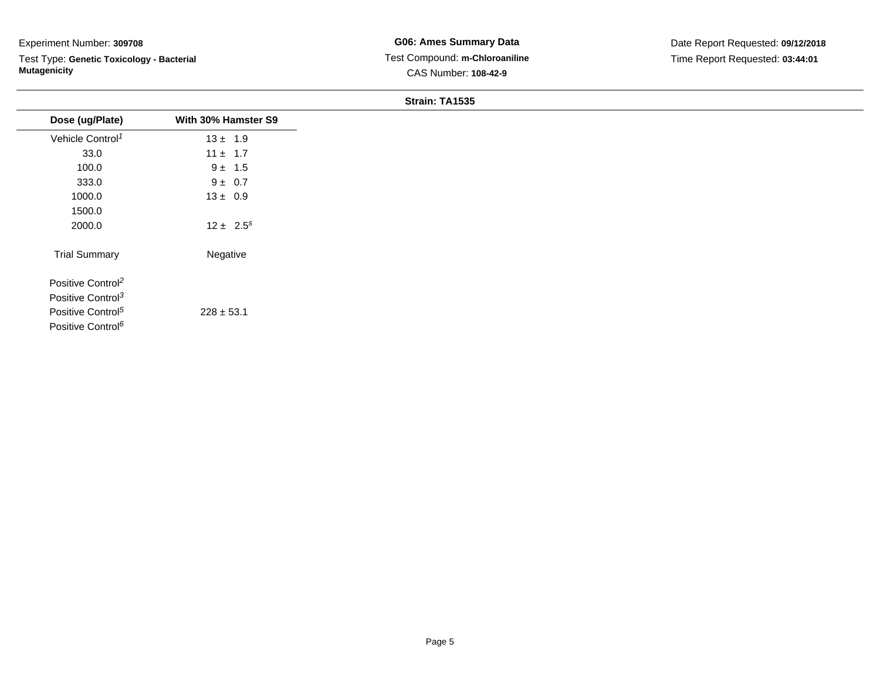Test Type: **Genetic Toxicology - Bacterial Mutagenicity**

| Dose (ug/Plate)               | With 30% Hamster S9 |
|-------------------------------|---------------------|
| Vehicle Control <sup>1</sup>  | $13 \pm 1.9$        |
| 33.0                          | $11 \pm 1.7$        |
| 100.0                         | $9 \pm 1.5$         |
| 333.0                         | $9 \pm 0.7$         |
| 1000.0                        | $13 \pm 0.9$        |
| 1500.0                        |                     |
| 2000.0                        | $12 \pm 2.5^s$      |
| <b>Trial Summary</b>          | Negative            |
| Positive Control <sup>2</sup> |                     |
| Positive Control <sup>3</sup> |                     |
| Positive Control <sup>5</sup> | $228 \pm 53.1$      |
| Positive Control <sup>6</sup> |                     |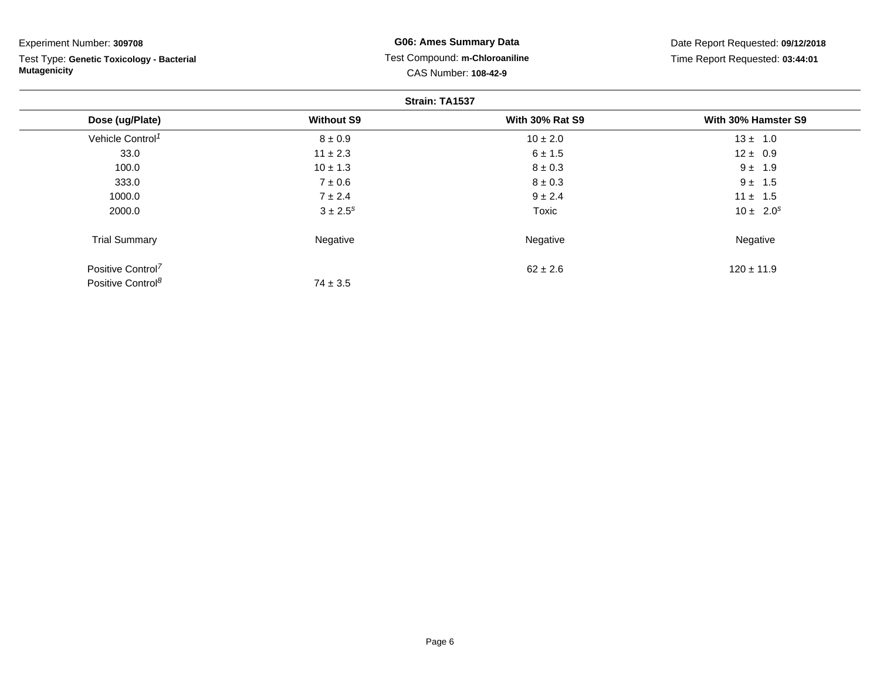| Experiment Number: 309708                                        |                   | G06: Ames Summary Data                                 | Date Report Requested: 09/12/2018 |
|------------------------------------------------------------------|-------------------|--------------------------------------------------------|-----------------------------------|
| Test Type: Genetic Toxicology - Bacterial<br><b>Mutagenicity</b> |                   | Test Compound: m-Chloroaniline<br>CAS Number: 108-42-9 | Time Report Requested: 03:44:01   |
|                                                                  |                   | Strain: TA1537                                         |                                   |
| Dose (ug/Plate)                                                  | <b>Without S9</b> | <b>With 30% Rat S9</b>                                 | With 30% Hamster S9               |
| Vehicle Control <sup>1</sup>                                     | $8 \pm 0.9$       | $10 \pm 2.0$                                           | $13 \pm 1.0$                      |
| 33.0                                                             | $11 \pm 2.3$      | $6 \pm 1.5$                                            | $12 \pm 0.9$                      |
| 100.0                                                            | $10 \pm 1.3$      | $8 \pm 0.3$                                            | $9 \pm 1.9$                       |
| 333.0                                                            | $7 \pm 0.6$       | $8 \pm 0.3$                                            | $9 \pm 1.5$                       |
| 1000.0                                                           | $7 \pm 2.4$       | $9 \pm 2.4$                                            | $11 \pm 1.5$                      |
| 2000.0                                                           | $3 \pm 2.5^s$     | Toxic                                                  | $10 \pm 2.0^s$                    |
| <b>Trial Summary</b>                                             | Negative          | Negative                                               | Negative                          |
| Positive Control <sup>7</sup>                                    |                   | $62 \pm 2.6$                                           | $120 \pm 11.9$                    |
| Positive Control <sup>8</sup>                                    | $74 \pm 3.5$      |                                                        |                                   |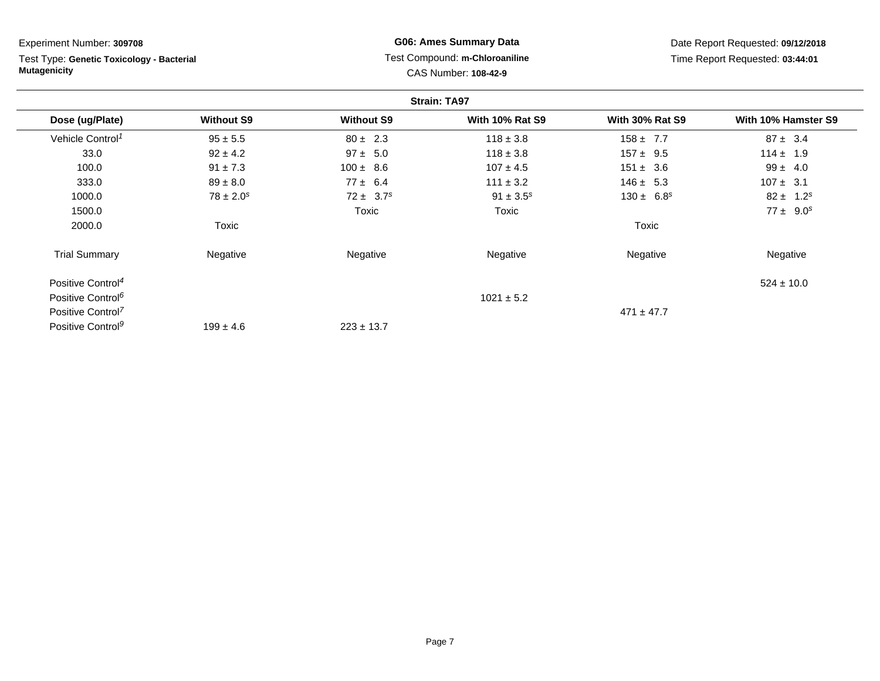| Experiment Number: 309708                                        |                   |                   | <b>G06: Ames Summary Data</b>                                 |                        | Date Report Requested: 09/12/2018 |
|------------------------------------------------------------------|-------------------|-------------------|---------------------------------------------------------------|------------------------|-----------------------------------|
| Test Type: Genetic Toxicology - Bacterial<br><b>Mutagenicity</b> |                   |                   | Test Compound: m-Chloroaniline<br><b>CAS Number: 108-42-9</b> |                        | Time Report Requested: 03:44:01   |
|                                                                  |                   |                   | <b>Strain: TA97</b>                                           |                        |                                   |
| Dose (ug/Plate)                                                  | <b>Without S9</b> | <b>Without S9</b> | <b>With 10% Rat S9</b>                                        | <b>With 30% Rat S9</b> | With 10% Hamster S9               |
| Vehicle Control <sup>1</sup>                                     | $95 \pm 5.5$      | $80 \pm 2.3$      | $118 \pm 3.8$                                                 | $158 \pm 7.7$          | $87 \pm 3.4$                      |
| 33.0                                                             | $92 \pm 4.2$      | $97 \pm 5.0$      | $118 \pm 3.8$                                                 | $157 \pm 9.5$          | $114 \pm 1.9$                     |
| 100.0                                                            | $91 \pm 7.3$      | $100 \pm 8.6$     | $107 \pm 4.5$                                                 | $151 \pm 3.6$          | $99 \pm 4.0$                      |
| 333.0                                                            | $89 \pm 8.0$      | $77 \pm 6.4$      | $111 \pm 3.2$                                                 | $146 \pm 5.3$          | $107 \pm 3.1$                     |
| 1000.0                                                           | $78 \pm 2.0^s$    | $72 \pm 3.7^s$    | $91 \pm 3.5^s$                                                | $130 \pm 6.8^s$        | $82 \pm 1.2^s$                    |
| 1500.0                                                           |                   | Toxic             | Toxic                                                         |                        | $77 \pm 9.0^s$                    |
| 2000.0                                                           | Toxic             |                   |                                                               | Toxic                  |                                   |
| <b>Trial Summary</b>                                             | Negative          | Negative          | Negative                                                      | Negative               | Negative                          |
| Positive Control <sup>4</sup>                                    |                   |                   |                                                               |                        | $524 \pm 10.0$                    |
| Positive Control <sup>6</sup>                                    |                   |                   | $1021 \pm 5.2$                                                |                        |                                   |
| Positive Control <sup>7</sup>                                    |                   |                   |                                                               | $471 \pm 47.7$         |                                   |
| Positive Control <sup>9</sup>                                    | $199 \pm 4.6$     | $223 \pm 13.7$    |                                                               |                        |                                   |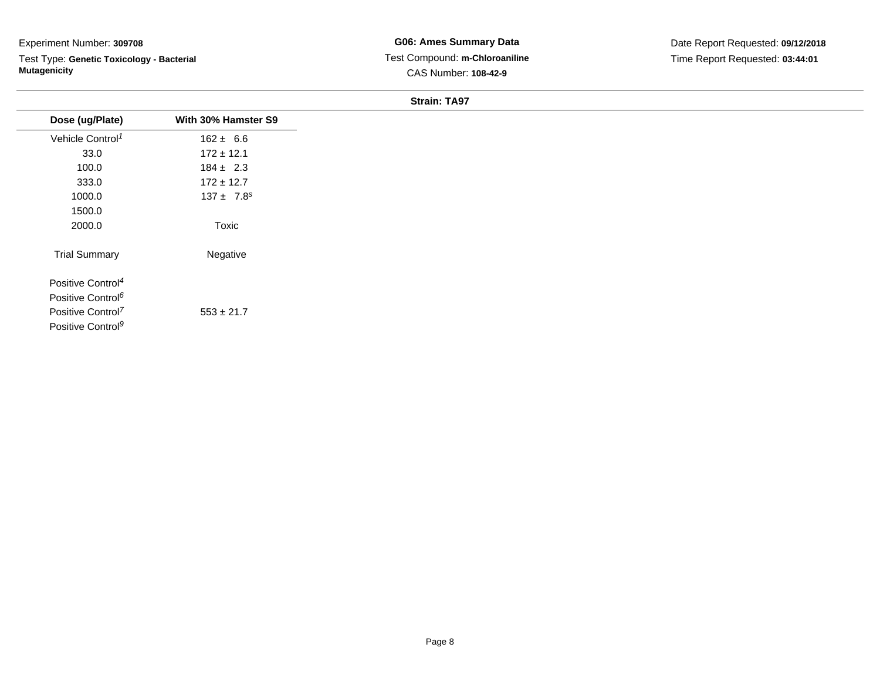Test Type: **Genetic Toxicology - Bacterial Mutagenicity**

**G06: Ames Summary Data** Test Compound: **m-Chloroaniline**CAS Number: **108-42-9**

|                               |                     | 0.19111.1731 |  |
|-------------------------------|---------------------|--------------|--|
| Dose (ug/Plate)               | With 30% Hamster S9 |              |  |
| Vehicle Control <sup>1</sup>  | $162 \pm 6.6$       |              |  |
| 33.0                          | $172 \pm 12.1$      |              |  |
| 100.0                         | $184 \pm 2.3$       |              |  |
| 333.0                         | $172 \pm 12.7$      |              |  |
| 1000.0                        | $137 \pm 7.8^s$     |              |  |
| 1500.0                        |                     |              |  |
| 2000.0                        | Toxic               |              |  |
| <b>Trial Summary</b>          | Negative            |              |  |
| Positive Control <sup>4</sup> |                     |              |  |
| Positive Control <sup>6</sup> |                     |              |  |
| Positive Control <sup>7</sup> | $553 \pm 21.7$      |              |  |
| Positive Control <sup>9</sup> |                     |              |  |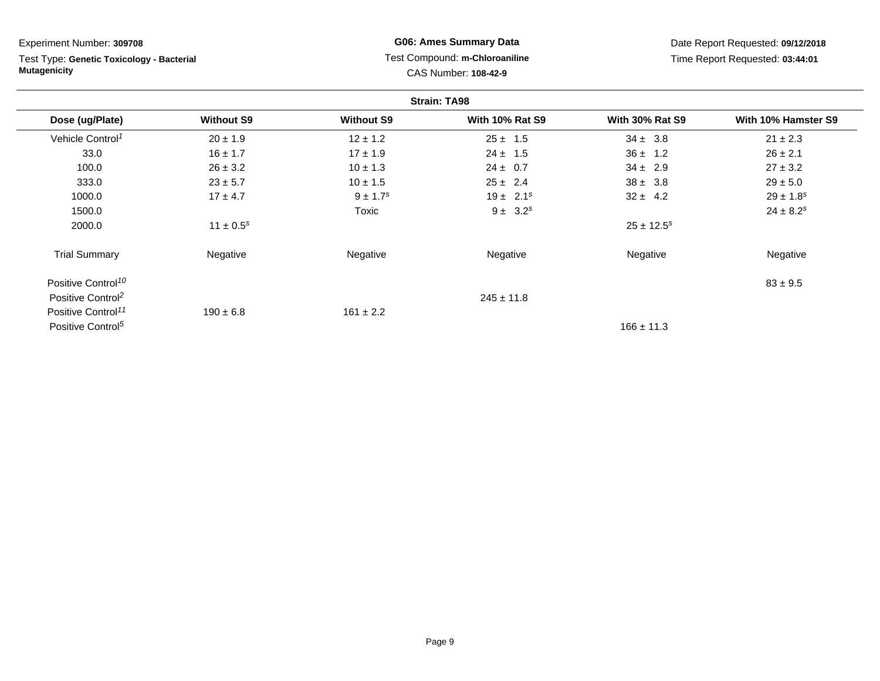**Strain: TA98Dose (ug/Plate) Without S9 Without S9 With 10% Rat S9 With 30% Rat S9 With 10% Hamster S9** Vehicle Control<sup>1</sup>  $20 \pm 1.9$  12 ± 1.2 25 ± 1.5 34 ± 3.8 21 ± 2.3 33.00 16 ± 1.7 17  $\pm 1.9$  24  $\pm 1.5$  36  $\pm 1.2$  26  $\pm 2.1$ 100.00  $26 \pm 3.2$   $10 \pm 1.3$   $24 \pm 0.7$   $34 \pm 2.9$   $27 \pm 3.2$ 333.00  $23 \pm 5.7$   $10 \pm 1.5$   $25 \pm 2.4$   $38 \pm 3.8$   $29 \pm 5.0$ 1000.00  $17 \pm 4.7$   $9 \pm 1.7$ <sup>s</sup>  $19 \pm 2.1$ <sup>s</sup>  $32 \pm 4.2$   $29 \pm 1.8$ <sup>s</sup> 1500.0 $T_{\text{OX}}$   $9 \pm 3.2^s$   $24 \pm 8.2^s$   $24 \pm 8.2^s$ 2000.00  $11 \pm 0.5^s$   $25 \pm 12.5^s$ Trial Summary Negativee **Negative Regative** Negative Negative Negative Regative Negative Positive Control<sup>10</sup>  $83 \pm 9.5$ Positive Control<sup>2</sup>  $245 \pm 11.8$ Positive Control<sup>11</sup>  $190 \pm 6.8$  $161 \pm 2.2$ Positive Control<sup>5</sup> Experiment Number: **309708**Test Type: **Genetic Toxicology - BacterialMutagenicityG06: Ames Summary Data** Test Compound: **m-Chloroaniline**CAS Number: **108-42-9**Date Report Requested: **09/12/2018**Time Report Requested: **03:44:01**

 $166 \pm 11.3$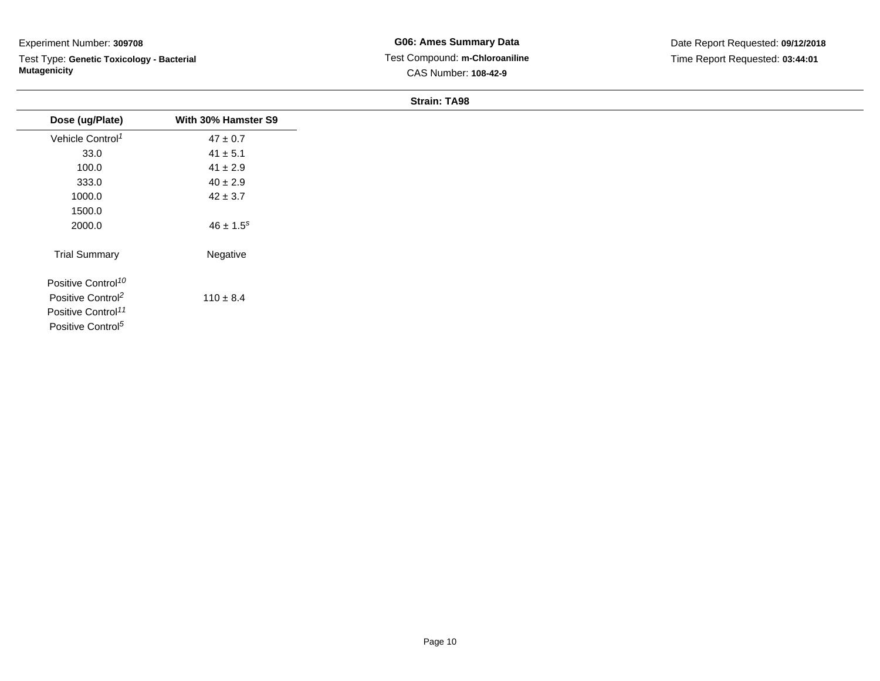Test Type: **Genetic Toxicology - Bacterial Mutagenicity**

| Dose (ug/Plate)                | With 30% Hamster S9 |
|--------------------------------|---------------------|
| Vehicle Control <sup>1</sup>   | $47 \pm 0.7$        |
| 33.0                           | $41 \pm 5.1$        |
| 100.0                          | $41 \pm 2.9$        |
| 333.0                          | $40 \pm 2.9$        |
| 1000.0                         | $42 \pm 3.7$        |
| 1500.0                         |                     |
| 2000.0                         | $46 \pm 1.5^s$      |
| <b>Trial Summary</b>           | Negative            |
| Positive Control <sup>10</sup> |                     |
| Positive Control <sup>2</sup>  | $110 \pm 8.4$       |
| Positive Control <sup>11</sup> |                     |
| Positive Control <sup>5</sup>  |                     |